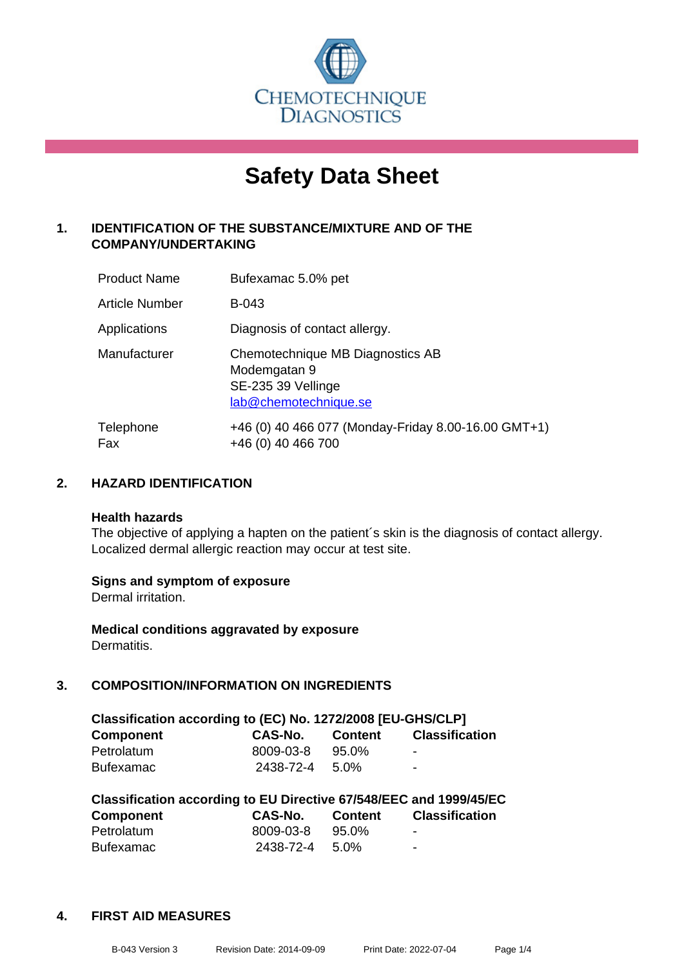

# **Safety Data Sheet**

## **1. IDENTIFICATION OF THE SUBSTANCE/MIXTURE AND OF THE COMPANY/UNDERTAKING**

| <b>Product Name</b>   | Bufexamac 5.0% pet                                                                              |
|-----------------------|-------------------------------------------------------------------------------------------------|
| <b>Article Number</b> | B-043                                                                                           |
| Applications          | Diagnosis of contact allergy.                                                                   |
| Manufacturer          | Chemotechnique MB Diagnostics AB<br>Modemgatan 9<br>SE-235 39 Vellinge<br>lab@chemotechnique.se |
| Telephone<br>Fax      | +46 (0) 40 466 077 (Monday-Friday 8.00-16.00 GMT+1)<br>+46 (0) 40 466 700                       |

## **2. HAZARD IDENTIFICATION**

#### **Health hazards**

The objective of applying a hapten on the patient's skin is the diagnosis of contact allergy. Localized dermal allergic reaction may occur at test site.

## **Signs and symptom of exposure**

Dermal irritation.

**Medical conditions aggravated by exposure** Dermatitis.

## **3. COMPOSITION/INFORMATION ON INGREDIENTS**

| Classification according to (EC) No. 1272/2008 [EU-GHS/CLP] |                |         |                          |  |
|-------------------------------------------------------------|----------------|---------|--------------------------|--|
| <b>Component</b>                                            | CAS-No.        | Content | <b>Classification</b>    |  |
| Petrolatum                                                  | 8009-03-8      | 95.0%   | $\blacksquare$           |  |
| <b>Bufexamac</b>                                            | 2438-72-4 5.0% |         | $\overline{\phantom{0}}$ |  |

| Classification according to EU Directive 67/548/EEC and 1999/45/EC |           |         |                       |  |  |
|--------------------------------------------------------------------|-----------|---------|-----------------------|--|--|
| <b>Component</b>                                                   | CAS-No.   | Content | <b>Classification</b> |  |  |
| Petrolatum                                                         | 8009-03-8 | 95.0%   | -                     |  |  |
| <b>Bufexamac</b>                                                   | 2438-72-4 | 5.0%    | -                     |  |  |

#### **4. FIRST AID MEASURES**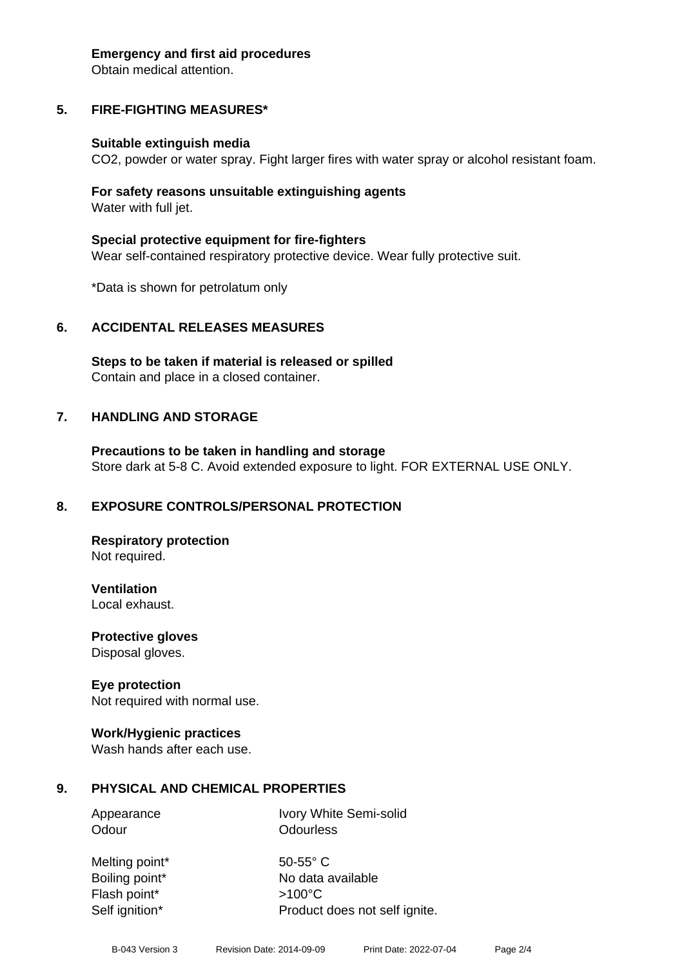#### **Emergency and first aid procedures**

Obtain medical attention.

# **5. FIRE-FIGHTING MEASURES\***

## **Suitable extinguish media**

CO2, powder or water spray. Fight larger fires with water spray or alcohol resistant foam.

## **For safety reasons unsuitable extinguishing agents** Water with full jet.

**Special protective equipment for fire-fighters** Wear self-contained respiratory protective device. Wear fully protective suit.

\*Data is shown for petrolatum only

# **6. ACCIDENTAL RELEASES MEASURES**

**Steps to be taken if material is released or spilled** Contain and place in a closed container.

# **7. HANDLING AND STORAGE**

**Precautions to be taken in handling and storage** Store dark at 5-8 C. Avoid extended exposure to light. FOR EXTERNAL USE ONLY.

# **8. EXPOSURE CONTROLS/PERSONAL PROTECTION**

**Respiratory protection** Not required.

**Ventilation** Local exhaust.

**Protective gloves**

Disposal gloves.

# **Eye protection**

Not required with normal use.

## **Work/Hygienic practices**

Wash hands after each use.

# **9. PHYSICAL AND CHEMICAL PROPERTIES**

Appearance Ivory White Semi-solid Odour **Odourless** 

Melting point\* 50-55° C Flash point\* >100°C Self ignition\* Product does not self ignite.

Boiling point\* No data available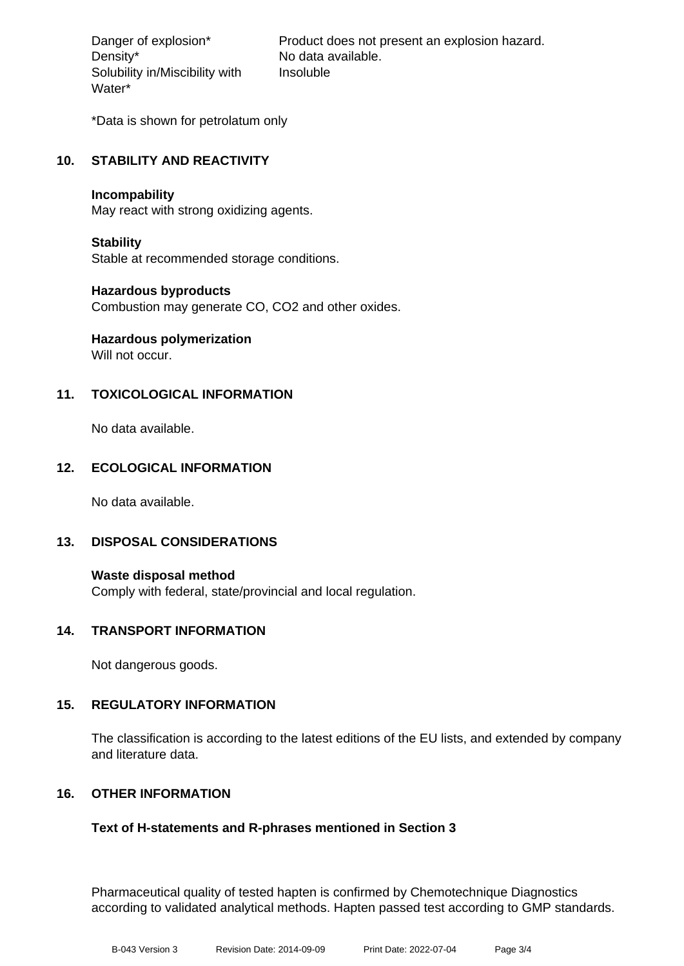Density\* No data available. Solubility in/Miscibility with Water\*

Danger of explosion\* Product does not present an explosion hazard. Insoluble

\*Data is shown for petrolatum only

## **10. STABILITY AND REACTIVITY**

#### **Incompability**

May react with strong oxidizing agents.

## **Stability**

Stable at recommended storage conditions.

## **Hazardous byproducts**

Combustion may generate CO, CO2 and other oxides.

# **Hazardous polymerization**

Will not occur.

## **11. TOXICOLOGICAL INFORMATION**

No data available.

## **12. ECOLOGICAL INFORMATION**

No data available.

## **13. DISPOSAL CONSIDERATIONS**

**Waste disposal method** Comply with federal, state/provincial and local regulation.

## **14. TRANSPORT INFORMATION**

Not dangerous goods.

## **15. REGULATORY INFORMATION**

The classification is according to the latest editions of the EU lists, and extended by company and literature data.

## **16. OTHER INFORMATION**

## **Text of H-statements and R-phrases mentioned in Section 3**

Pharmaceutical quality of tested hapten is confirmed by Chemotechnique Diagnostics according to validated analytical methods. Hapten passed test according to GMP standards.